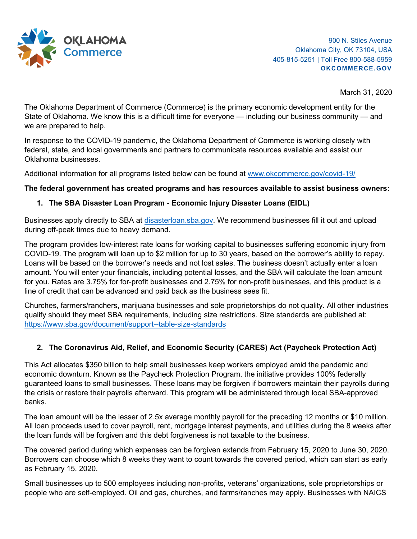

March 31, 2020

The Oklahoma Department of Commerce (Commerce) is the primary economic development entity for the State of Oklahoma. We know this is a difficult time for everyone — including our business community — and we are prepared to help.

In response to the COVID-19 pandemic, the Oklahoma Department of Commerce is working closely with federal, state, and local governments and partners to communicate resources available and assist our Oklahoma businesses.

Additional information for all programs listed below can be found at [www.okcommerce.gov/covid-19/](http://www.okcommerce.gov/covid-19/)

## **The federal government has created programs and has resources available to assist business owners:**

## **1. The SBA Disaster Loan Program - Economic Injury Disaster Loans (EIDL)**

Businesses apply directly to SBA at [disasterloan.sba.gov.](http://disasterloan.sba.gov/) We recommend businesses fill it out and upload during off-peak times due to heavy demand.

The program provides low-interest rate loans for working capital to businesses suffering economic injury from COVID-19. The program will loan up to \$2 million for up to 30 years, based on the borrower's ability to repay. Loans will be based on the borrower's needs and not lost sales. The business doesn't actually enter a loan amount. You will enter your financials, including potential losses, and the SBA will calculate the loan amount for you. Rates are 3.75% for for-profit businesses and 2.75% for non-profit businesses, and this product is a line of credit that can be advanced and paid back as the business sees fit.

Churches, farmers/ranchers, marijuana businesses and sole proprietorships do not quality. All other industries qualify should they meet SBA requirements, including size restrictions. Size standards are published at: <https://www.sba.gov/document/support--table-size-standards>

## **2. The Coronavirus Aid, Relief, and Economic Security (CARES) Act (Paycheck Protection Act)**

This Act allocates \$350 billion to help small businesses keep workers employed amid the pandemic and economic downturn. Known as the Paycheck Protection Program, the initiative provides 100% federally guaranteed loans to small businesses. These loans may be forgiven if borrowers maintain their payrolls during the crisis or restore their payrolls afterward. This program will be administered through local SBA-approved banks.

The loan amount will be the lesser of 2.5x average monthly payroll for the preceding 12 months or \$10 million. All loan proceeds used to cover payroll, rent, mortgage interest payments, and utilities during the 8 weeks after the loan funds will be forgiven and this debt forgiveness is not taxable to the business.

The covered period during which expenses can be forgiven extends from February 15, 2020 to June 30, 2020. Borrowers can choose which 8 weeks they want to count towards the covered period, which can start as early as February 15, 2020.

Small businesses up to 500 employees including non-profits, veterans' organizations, sole proprietorships or people who are self-employed. Oil and gas, churches, and farms/ranches may apply. Businesses with NAICS